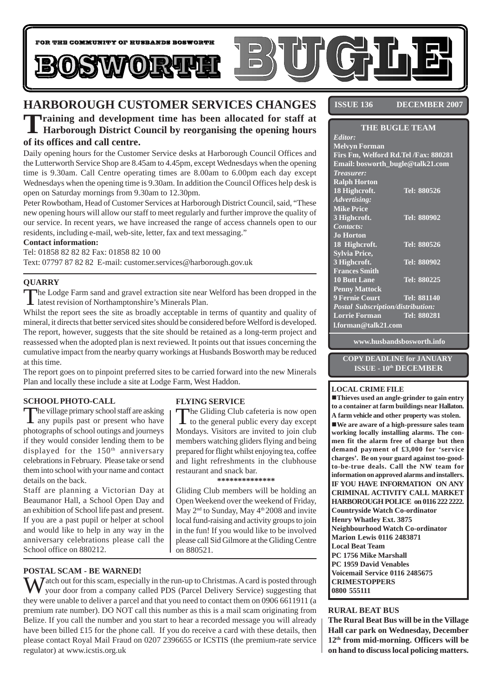

# **HARBOROUGH CUSTOMER SERVICES CHANGES**

**Training and development time has been allocated for staff at Harborough District Council by reorganising the opening hours of its offices and call centre.**

Daily opening hours for the Customer Service desks at Harborough Council Offices and the Lutterworth Service Shop are 8.45am to 4.45pm, except Wednesdays when the opening time is 9.30am. Call Centre operating times are 8.00am to 6.00pm each day except Wednesdays when the opening time is 9.30am. In addition the Council Offices help desk is open on Saturday mornings from 9.30am to 12.30pm.

Peter Rowbotham, Head of Customer Services at Harborough District Council, said, "These new opening hours will allow our staff to meet regularly and further improve the quality of our service. In recent years, we have increased the range of access channels open to our residents, including e-mail, web-site, letter, fax and text messaging."

#### **Contact information:**

Tel: 01858 82 82 82 Fax: 01858 82 10 00 Text: 07797 87 82 82 E-mail: customer.services@harborough.gov.uk

#### **QUARRY**

The Lodge Farm sand and gravel extraction site near Welford has been dropped in the latest revision of Northamptonshire's Minerals Plan.

Whilst the report sees the site as broadly acceptable in terms of quantity and quality of mineral, it directs that better serviced sites should be considered before Welford is developed. The report, however, suggests that the site should be retained as a long-term project and reassessed when the adopted plan is next reviewed. It points out that issues concerning the cumulative impact from the nearby quarry workings at Husbands Bosworth may be reduced at this time.

The report goes on to pinpoint preferred sites to be carried forward into the new Minerals Plan and locally these include a site at Lodge Farm, West Haddon.

#### **SCHOOL PHOTO-CALL**

The village primary school staff are asking<br>any pupils past or present who have photographs of school outings and journeys if they would consider lending them to be displayed for the 150<sup>th</sup> anniversary celebrations in February. Please take or send them into school with your name and contact details on the back.

Staff are planning a Victorian Day at Beaumanor Hall, a School Open Day and an exhibition of School life past and present. If you are a past pupil or helper at school and would like to help in any way in the anniversary celebrations please call the School office on 880212.

#### **POSTAL SCAM - BE WARNED!**

# **FLYING SERVICE**

The Gliding Club cafeteria is now open<br>to the general public every day except Mondays. Visitors are invited to join club members watching gliders flying and being prepared for flight whilst enjoying tea, coffee and light refreshments in the clubhouse restaurant and snack bar.

**\*\*\*\*\*\*\*\*\*\*\*\*\*\***

Gliding Club members will be holding an Open Weekend over the weekend of Friday, May  $2<sup>nd</sup>$  to Sunday, May  $4<sup>th</sup>$  2008 and invite local fund-raising and activity groups to join in the fun! If you would like to be involved please call Sid Gilmore at the Gliding Centre on 880521.

 $\sum$  *J* atch out for this scam, especially in the run-up to Christmas. A card is posted through your door from a company called PDS (Parcel Delivery Service) suggesting that they were unable to deliver a parcel and that you need to contact them on 0906 6611911 (a premium rate number). DO NOT call this number as this is a mail scam originating from Belize. If you call the number and you start to hear a recorded message you will already have been billed £15 for the phone call. If you do receive a card with these details, then please contact Royal Mail Fraud on 0207 2396655 or ICSTIS (the premium-rate service regulator) at www.icstis.org.uk

**ISSUE 136 DECEMBER 2007** 

| <b>THE BUGLE TEAM</b>                    |                    |
|------------------------------------------|--------------------|
| Editor:                                  |                    |
| <b>Melvyn Forman</b>                     |                    |
| Firs Fm, Welford Rd.Tel /Fax: 880281     |                    |
| Email: bosworth_bugle@talk21.com         |                    |
| <b>Treasurer:</b>                        |                    |
| <b>Ralph Horton</b>                      |                    |
| 18 Highcroft.                            | Tel: 880526        |
| Advertising:                             |                    |
| <b>Mike Price</b>                        |                    |
| 3 Highcroft.                             | Tel: 880902        |
| Contacts:                                |                    |
| <b>Jo Horton</b>                         |                    |
| 18 Highcroft.                            | Tel: 880526        |
| <b>Sylvia Price,</b>                     |                    |
| 3 Highcroft.                             | Tel: 880902        |
| <b>Frances Smith</b>                     |                    |
| <b>10 Butt Lane</b>                      | Tel: 880225        |
| <b>Penny Mattock</b>                     |                    |
| 9 Fernie Court                           | <b>Tel: 881140</b> |
| <b>Postal Subscription/distribution:</b> |                    |
| <b>Lorrie Forman</b>                     | Tel: 880281        |
| l.forman@talk21.com                      |                    |

**www.husbandsbosworth.info**

**COPY DEADLINE for JANUARY ISSUE - 10th DECEMBER**

#### **LOCAL CRIME FILE**

!**Thieves used an angle-grinder to gain entry to a container at farm buildings near Hallaton. A farm vehicle and other property was stolen.** !**We are aware of a high-pressure sales team working locally installing alarms. The conmen fit the alarm free of charge but then demand payment of £3,000 for 'service charges'. Be on your guard against too-goodto-be-true deals. Call the NW team for information on approved alarms and installers. IF YOU HAVE INFORMATION ON ANY CRIMINAL ACTIVITY CALL MARKET HARBOROUGH POLICE on 0116 222 2222. Countryside Watch Co-ordinator Henry Whatley Ext. 3875 Neighbourhood Watch Co-ordinator Marion Lewis 0116 2483871 Local Beat Team PC 1756 Mike Marshall PC 1959 David Venables Voicemail Service 0116 2485675 CRIMESTOPPERS 0800 555111**

#### **RURAL BEAT BUS**

**The Rural Beat Bus will be in the Village Hall car park on Wednesday, December 12th from mid-morning. Officers will be on hand to discuss local policing matters.**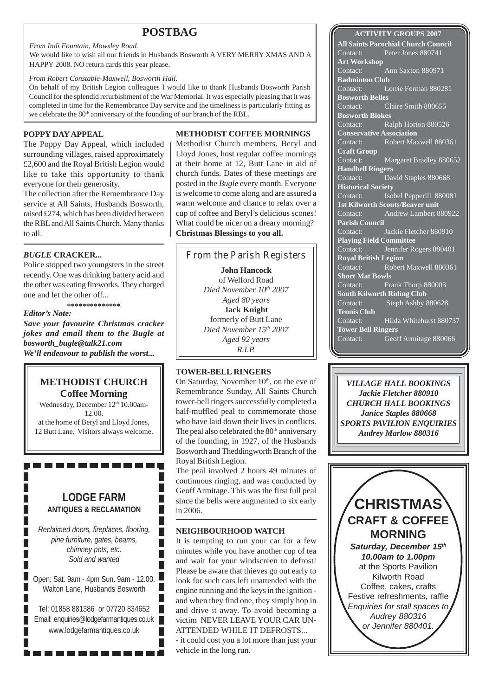## **POSTBAG**

#### *From Indi Fountain, Mowsley Road.*

We would like to wish all our friends in Husbands Bosworth A VERY MERRY XMAS AND A HAPPY 2008. NO return cards this year please.

#### *From Robert Constable-Maxwell, Bosworth Hall.*

On behalf of my British Legion colleagues I would like to thank Husbands Bosworth Parish Council for the splendid refurbishment of the War Memorial. It was especially pleasing that it was completed in time for the Remembrance Day service and the timeliness is particularly fitting as we celebrate the  $80<sup>th</sup>$  anniversary of the founding of our branch of the RBL.

### **POPPY DAY APPEAL**

The Poppy Day Appeal, which included surrounding villages, raised approximately £2,600 and the Royal British Legion would like to take this opportunity to thank everyone for their generosity.

The collection after the Remembrance Day service at All Saints, Husbands Bosworth, raised £274, which has been divided between the RBL and All Saints Church. Many thanks to all.

### *BUGLE* **CRACKER...**

Police stopped two youngsters in the street recently. One was drinking battery acid and the other was eating fireworks. They charged one and let the other off...

**\*\*\*\*\*\*\*\*\*\*\*\*\*\*** *Editor's Note: Save your favourite Christmas cracker jokes and email them to the Bugle at bosworth\_bugle@talk21.com We'll endeavour to publish the worst...*

### **METHODIST CHURCH Coffee Morning**

Wednesday, December 12<sup>th</sup> 10.00am-12.00. at the home of Beryl and Lloyd Jones, 12 Butt Lane. Visitors always welcome.

## **LODGE FARM ANTIQUES & RECLAMATION**

-----------

*Reclaimed doors, fireplaces, flooring, pine furniture, gates, beams, chimney pots, etc. Sold and wanted*

Open: Sat. 9am - 4pm Sun. 9am - 12.00. Walton Lane, Husbands Bosworth

Tel: 01858 881386 or 07720 834652 Email: enquiries@lodgefarmantiques.co.uk www.lodgefarmantiques.co.uk

. . . . . . . .

**METHODIST COFFEE MORNINGS**

Methodist Church members, Beryl and Lloyd Jones, host regular coffee mornings at their home at 12, Butt Lane in aid of church funds. Dates of these meetings are posted in the *Bugle* every month. Everyone is welcome to come along and are assured a warm welcome and chance to relax over a cup of coffee and Beryl's delicious scones! What could be nicer on a dreary morning? **Christmas Blessings to you all.**

**John Hancock** From the Parish Registers

of Welford Road *Died November 10th 2007 Aged 80 years* **Jack Knight** formerly of Butt Lane *Died November 15th 2007 Aged 92 years R.I.P.*

### **TOWER-BELL RINGERS**

On Saturday, November  $10<sup>th</sup>$ , on the eve of Remembrance Sunday, All Saints Church tower-bell ringers successfully completed a half-muffled peal to commemorate those who have laid down their lives in conflicts. The peal also celebrated the  $80<sup>th</sup>$  anniversary of the founding, in 1927, of the Husbands Bosworth and Theddingworth Branch of the Royal British Legion.

The peal involved 2 hours 49 minutes of continuous ringing, and was conducted by Geoff Armitage. This was the first full peal since the bells were augmented to six early in 2006.

### **NEIGHBOURHOOD WATCH**

Г

Г Г

Г

Г

It is tempting to run your car for a few minutes while you have another cup of tea and wait for your windscreen to defrost! Please be aware that thieves go out early to look for such cars left unattended with the engine running and the keys in the ignition and when they find one, they simply hop in and drive it away. To avoid becoming a victim NEVER LEAVE YOUR CAR UN-ATTENDED WHILE IT DEFROSTS... - it could cost you a lot more than just your

vehicle in the long run.

**ACTIVITY GROUPS 2007 All Saints Parochial Church Council** Contact: Peter Jones 880741 **Art Workshop** Contact: Ann Saxton 880971 **Badminton Club** Contact: Lorrie Forman 880281 **Bosworth Belles** Contact: Claire Smith 880655 **Bosworth Blokes** Contact: Ralph Horton 880526 **Conservative Association**<br>Contact: Robert May Robert Maxwell 880361 **Craft Group** Contact: Margaret Bradley 880652 **Handbell Ringers** Contact: David Staples 880668 **Historical Society** Contact: **Isobel Pepperill 880081 1st Kilworth Scouts/Beaver unit** Contact: Andrew Lambert 880922 **Parish Council** Contact: Jackie Fletcher 880910 **Playing Field Committee** Contact: Jennifer Rogers 880401 **Royal British Legion** Contact: Robert Maxwell 880361 **Short Mat Bowls** Contact: Frank Thorp 880003 **South Kilworth Riding Club** Contact: Steph Ashby 880628 **Tennis Club** Contact: Hilda Whitehurst 880737 **Tower Bell Ringers** Contact: Geoff Armitage 880066

*VILLAGE HALL BOOKINGS Jackie Fletcher 880910 CHURCH HALL BOOKINGS Janice Staples 880668 SPORTS PAVILION ENQUIRIES Audrey Marlow 880316*

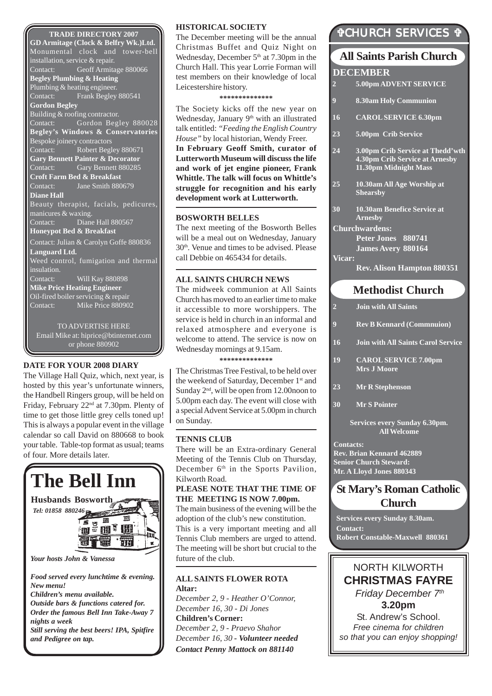#### **TRADE DIRECTORY 2007**

**GD Armitage (Clock & Belfry Wk.)Ltd.** Monumental clock and tower-bell installation, service & repair. Contact: Geoff Armitage 880066 **Begley Plumbing & Heating** Plumbing & heating engineer.<br>Contact: Frank Beglev Frank Begley 880541 **Gordon Begley** Building & roofing contractor. Contact: Gordon Begley 880028 **Begley's Windows & Conservatories** Bespoke joinery contractors Contact: Robert Begley 880671 **Gary Bennett Painter & Decorator** Contact: Gary Bennett 880285 **Croft Farm Bed & Breakfast** Contact: Jane Smith 880679 **Diane Hall** Beauty therapist, facials, pedicures, manicures & waxing. Contact: Diane Hall 880567 **Honeypot Bed & Breakfast** Contact: Julian & Carolyn Goffe 880836 **Languard Ltd.** Weed control, fumigation and thermal insulation. Contact: Will Kay 880898 **Mike Price Heating Engineer** Oil-fired boiler servicing & repair Contact: Mike Price 880902 TO ADVERTISE HERE Email Mike at: hiprice@btinternet.com or phone 880902

#### **DATE FOR YOUR 2008 DIARY**

The Village Hall Quiz, which, next year, is hosted by this year's unfortunate winners, the Handbell Ringers group, will be held on Friday, February 22nd at 7.30pm. Plenty of time to get those little grey cells toned up! This is always a popular event in the village calendar so call David on 880668 to book your table. Table-top format as usual; teams of four. More details later.



*and Pedigree on tap.*

#### **HISTORICAL SOCIETY**

The December meeting will be the annual Christmas Buffet and Quiz Night on Wednesday, December  $5<sup>th</sup>$  at 7.30pm in the Church Hall. This year Lorrie Forman will test members on their knowledge of local Leicestershire history.

**\*\*\*\*\*\*\*\*\*\*\*\*\*\***

The Society kicks off the new year on Wednesday, January 9<sup>th</sup> with an illustrated talk entitled: *"Feeding the English Country House"* by local historian, Wendy Freer. **In February Geoff Smith, curator of Lutterworth Museum will discuss the life and work of jet engine pioneer, Frank Whittle. The talk will focus on Whittle's struggle for recognition and his early development work at Lutterworth.**

#### **BOSWORTH BELLES**

The next meeting of the Bosworth Belles will be a meal out on Wednesday, January 30th. Venue and times to be advised. Please call Debbie on 465434 for details.

#### **ALL SAINTS CHURCH NEWS**

The midweek communion at All Saints Church has moved to an earlier time to make it accessible to more worshippers. The service is held in church in an informal and relaxed atmosphere and everyone is welcome to attend. The service is now on Wednesday mornings at 9.15am.

**\*\*\*\*\*\*\*\*\*\*\*\*\*\***

The Christmas Tree Festival, to be held over the weekend of Saturday, December 1<sup>st</sup> and Sunday  $2<sup>nd</sup>$ , will be open from 12.00noon to 5.00pm each day. The event will close with a special Advent Service at 5.00pm in church on Sunday.

#### **TENNIS CLUB**

There will be an Extra-ordinary General Meeting of the Tennis Club on Thursday, December 6<sup>th</sup> in the Sports Pavilion, Kilworth Road.

#### **PLEASE NOTE THAT THE TIME OF THE MEETING IS NOW 7.00pm.**

The main business of the evening will be the adoption of the club's new constitution. This is a very important meeting and all Tennis Club members are urged to attend. The meeting will be short but crucial to the future of the club.

#### **ALL SAINTS FLOWER ROTA Altar:**

*December 2, 9 - Heather O'Connor, December 16, 30 - Di Jones* **Children's Corner:** *December 2, 9 - Praevo Shahor December 16, 30 - Volunteer needed Contact Penny Mattock on 881140*

# "CHURCH SERVICES "

# **Methodist Church All Saints Parish Church DECEMBER 2 Join with All Saints 9 Rev B Kennard (Commnuion) 16 Join with All Saints Carol Service 19 CAROL SERVICE 7.00pm Mrs J Moore 23 Mr R Stephenson 2 5.00pm ADVENT SERVICE 9 8.30am Holy Communion 16 CAROL SERVICE 6.30pm 23 5.00pm Crib Service 24 3.00pm Crib Service at Thedd'wth 4.30pm Crib Service at Arnesby 11.30pm Midnight Mass 25 10.30am All Age Worship at Shearsby 30 10.30am Benefice Service at Arnesby Churchwardens: Peter Jones 880741 James Avery 880164 Vicar: Rev. Alison Hampton 880351**

**30 Mr S Pointer**

**Services every Sunday 6.30pm. All Welcome**

**Contacts: Rev. Brian Kennard 462889 Senior Church Steward: Mr. A Lloyd Jones 880343**

# **St Mary's Roman Catholic Church**

**Services every Sunday 8.30am. Contact: Robert Constable-Maxwell 880361**

NORTH KILWORTH **CHRISTMAS FAYRE** *Friday December 7th* **3.20pm** St. Andrew's School. *Free cinema for children so that you can enjoy shopping!*